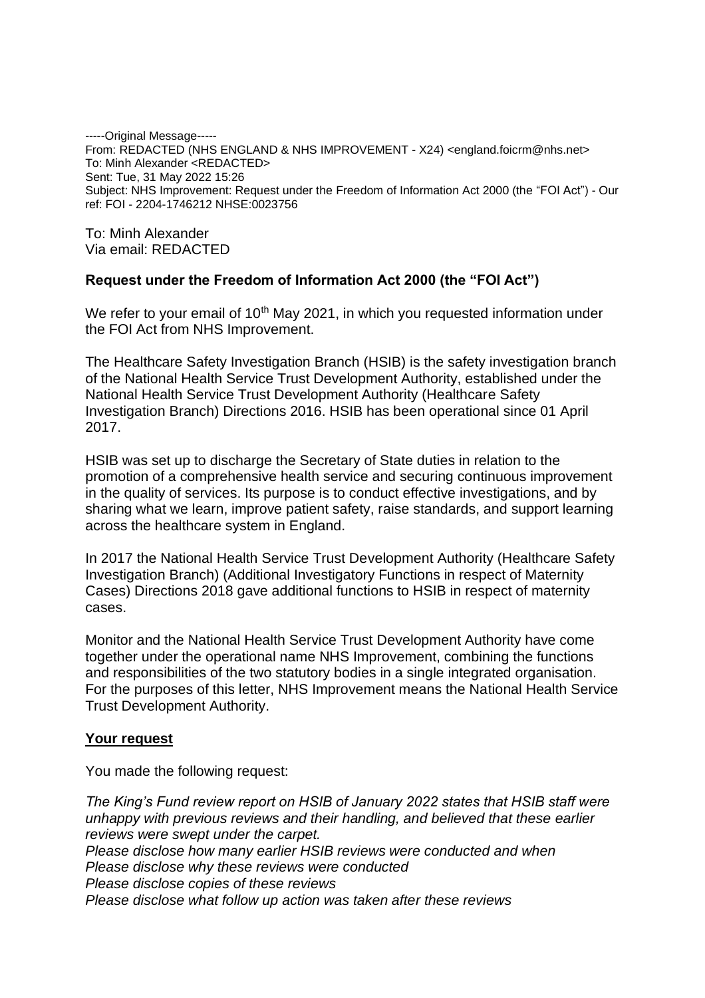-----Original Message----- From: REDACTED (NHS ENGLAND & NHS IMPROVEMENT - X24) <england.foicrm@nhs.net> To: Minh Alexander <REDACTED> Sent: Tue, 31 May 2022 15:26 Subject: NHS Improvement: Request under the Freedom of Information Act 2000 (the "FOI Act") - Our ref: FOI - 2204-1746212 NHSE:0023756

To: Minh Alexander Via email: REDACTED

### **Request under the Freedom of Information Act 2000 (the "FOI Act")**

We refer to your email of 10<sup>th</sup> May 2021, in which you requested information under the FOI Act from NHS Improvement.

The Healthcare Safety Investigation Branch (HSIB) is the safety investigation branch of the National Health Service Trust Development Authority, established under the National Health Service Trust Development Authority (Healthcare Safety Investigation Branch) Directions 2016. HSIB has been operational since 01 April 2017.

HSIB was set up to discharge the Secretary of State duties in relation to the promotion of a comprehensive health service and securing continuous improvement in the quality of services. Its purpose is to conduct effective investigations, and by sharing what we learn, improve patient safety, raise standards, and support learning across the healthcare system in England.

In 2017 the National Health Service Trust Development Authority (Healthcare Safety Investigation Branch) (Additional Investigatory Functions in respect of Maternity Cases) Directions 2018 gave additional functions to HSIB in respect of maternity cases.

Monitor and the National Health Service Trust Development Authority have come together under the operational name NHS Improvement, combining the functions and responsibilities of the two statutory bodies in a single integrated organisation. For the purposes of this letter, NHS Improvement means the National Health Service Trust Development Authority.

### **Your request**

You made the following request:

*The King's Fund review report on HSIB of January 2022 states that HSIB staff were unhappy with previous reviews and their handling, and believed that these earlier reviews were swept under the carpet. Please disclose how many earlier HSIB reviews were conducted and when Please disclose why these reviews were conducted Please disclose copies of these reviews Please disclose what follow up action was taken after these reviews*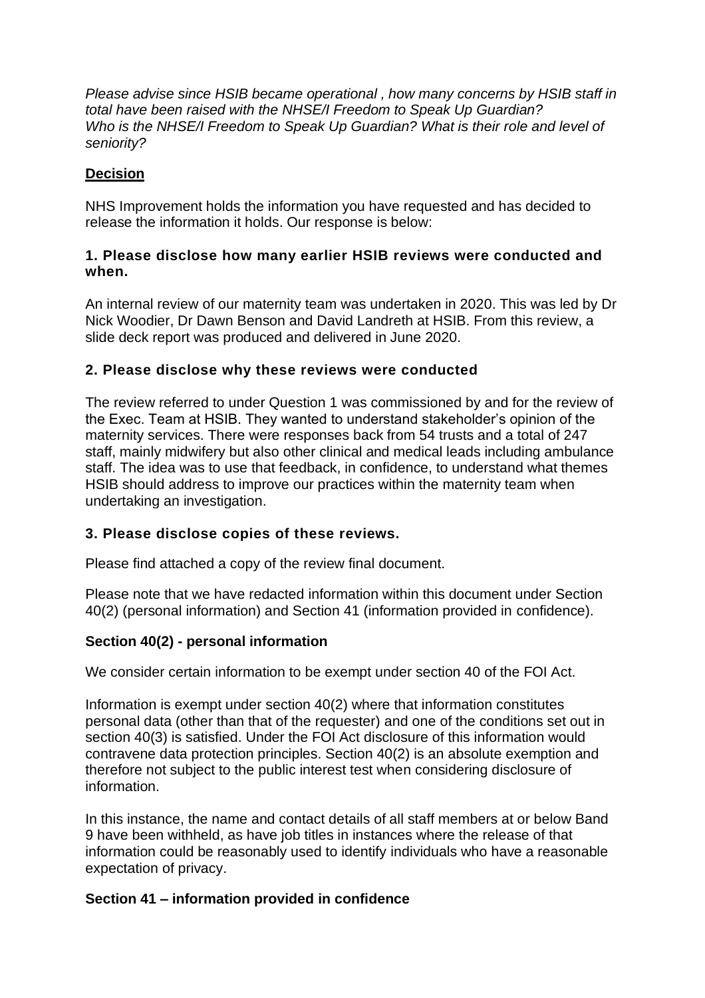*Please advise since HSIB became operational , how many concerns by HSIB staff in total have been raised with the NHSE/I Freedom to Speak Up Guardian? Who is the NHSE/I Freedom to Speak Up Guardian? What is their role and level of seniority?*

# **Decision**

NHS Improvement holds the information you have requested and has decided to release the information it holds. Our response is below:

### **1. Please disclose how many earlier HSIB reviews were conducted and when.**

An internal review of our maternity team was undertaken in 2020. This was led by Dr Nick Woodier, Dr Dawn Benson and David Landreth at HSIB. From this review, a slide deck report was produced and delivered in June 2020.

## **2. Please disclose why these reviews were conducted**

The review referred to under Question 1 was commissioned by and for the review of the Exec. Team at HSIB. They wanted to understand stakeholder's opinion of the maternity services. There were responses back from 54 trusts and a total of 247 staff, mainly midwifery but also other clinical and medical leads including ambulance staff. The idea was to use that feedback, in confidence, to understand what themes HSIB should address to improve our practices within the maternity team when undertaking an investigation.

# **3. Please disclose copies of these reviews.**

Please find attached a copy of the review final document.

Please note that we have redacted information within this document under Section 40(2) (personal information) and Section 41 (information provided in confidence).

## **Section 40(2) - personal information**

We consider certain information to be exempt under section 40 of the FOI Act.

Information is exempt under section 40(2) where that information constitutes personal data (other than that of the requester) and one of the conditions set out in section 40(3) is satisfied. Under the FOI Act disclosure of this information would contravene data protection principles. Section 40(2) is an absolute exemption and therefore not subject to the public interest test when considering disclosure of information.

In this instance, the name and contact details of all staff members at or below Band 9 have been withheld, as have job titles in instances where the release of that information could be reasonably used to identify individuals who have a reasonable expectation of privacy.

## **Section 41 – information provided in confidence**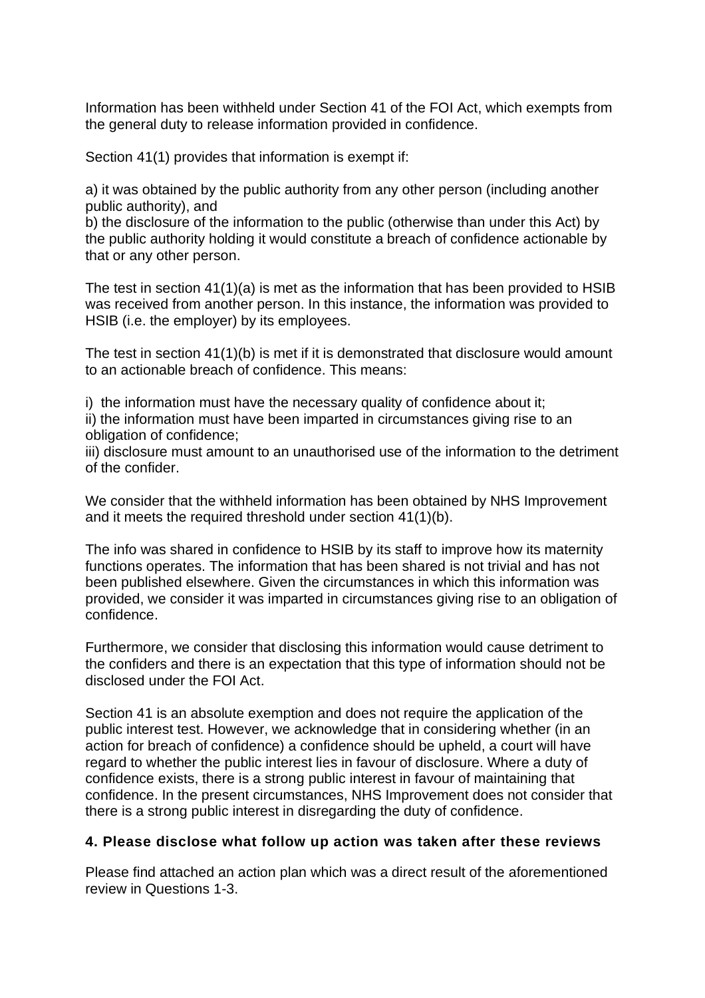Information has been withheld under Section 41 of the FOI Act, which exempts from the general duty to release information provided in confidence.

Section 41(1) provides that information is exempt if:

a) it was obtained by the public authority from any other person (including another public authority), and

b) the disclosure of the information to the public (otherwise than under this Act) by the public authority holding it would constitute a breach of confidence actionable by that or any other person.

The test in section  $41(1)(a)$  is met as the information that has been provided to HSIB was received from another person. In this instance, the information was provided to HSIB (i.e. the employer) by its employees.

The test in section 41(1)(b) is met if it is demonstrated that disclosure would amount to an actionable breach of confidence. This means:

i) the information must have the necessary quality of confidence about it; ii) the information must have been imparted in circumstances giving rise to an obligation of confidence;

iii) disclosure must amount to an unauthorised use of the information to the detriment of the confider.

We consider that the withheld information has been obtained by NHS Improvement and it meets the required threshold under section 41(1)(b).

The info was shared in confidence to HSIB by its staff to improve how its maternity functions operates. The information that has been shared is not trivial and has not been published elsewhere. Given the circumstances in which this information was provided, we consider it was imparted in circumstances giving rise to an obligation of confidence.

Furthermore, we consider that disclosing this information would cause detriment to the confiders and there is an expectation that this type of information should not be disclosed under the FOI Act.

Section 41 is an absolute exemption and does not require the application of the public interest test. However, we acknowledge that in considering whether (in an action for breach of confidence) a confidence should be upheld, a court will have regard to whether the public interest lies in favour of disclosure. Where a duty of confidence exists, there is a strong public interest in favour of maintaining that confidence. In the present circumstances, NHS Improvement does not consider that there is a strong public interest in disregarding the duty of confidence.

# **4. Please disclose what follow up action was taken after these reviews**

Please find attached an action plan which was a direct result of the aforementioned review in Questions 1-3.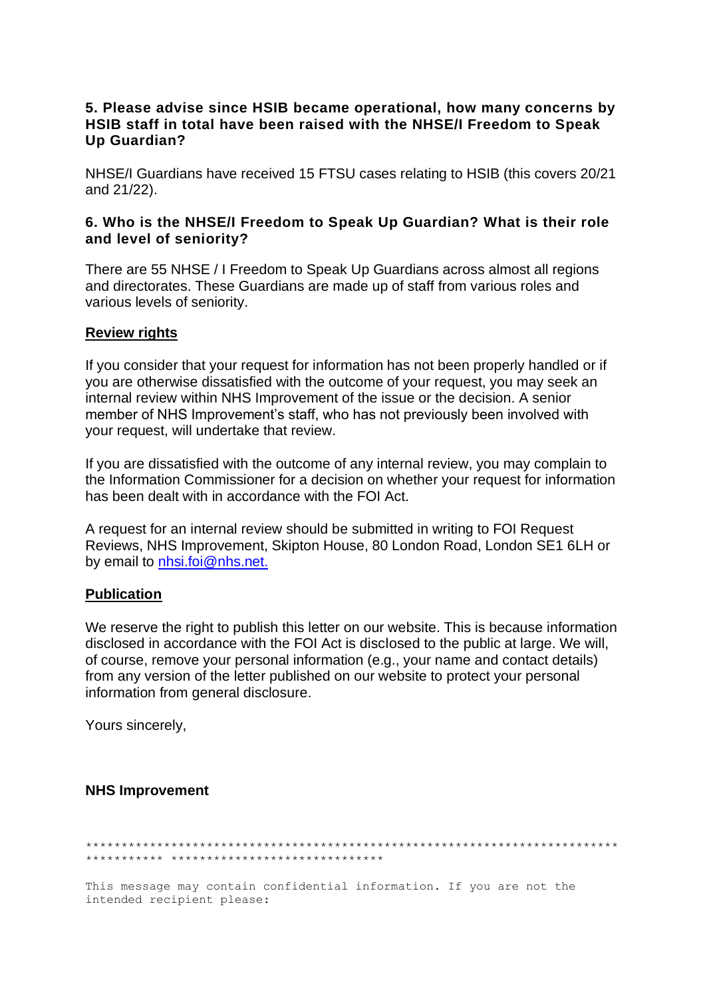### 5. Please advise since HSIB became operational, how many concerns by HSIB staff in total have been raised with the NHSE/I Freedom to Speak Un Guardian?

NHSE/I Guardians have received 15 FTSU cases relating to HSIB (this covers 20/21 and 21/22).

#### 6. Who is the NHSE/I Freedom to Speak Up Guardian? What is their role and level of seniority?

There are 55 NHSE / I Freedom to Speak Up Guardians across almost all regions and directorates. These Guardians are made up of staff from various roles and various levels of seniority.

#### **Review rights**

If you consider that your request for information has not been properly handled or if you are otherwise dissatisfied with the outcome of your request, you may seek an internal review within NHS Improvement of the issue or the decision. A senior member of NHS Improvement's staff, who has not previously been involved with your request, will undertake that review.

If you are dissatisfied with the outcome of any internal review, you may complain to the Information Commissioner for a decision on whether your request for information has been dealt with in accordance with the FOI Act.

A request for an internal review should be submitted in writing to FOI Request Reviews, NHS Improvement, Skipton House, 80 London Road, London SE1 6LH or by email to nhsi.foi@nhs.net.

### **Publication**

We reserve the right to publish this letter on our website. This is because information disclosed in accordance with the FOI Act is disclosed to the public at large. We will, of course, remove your personal information (e.g., your name and contact details) from any version of the letter published on our website to protect your personal information from general disclosure.

Yours sincerely.

#### **NHS Improvement**

This message may contain confidential information. If you are not the intended recipient please: